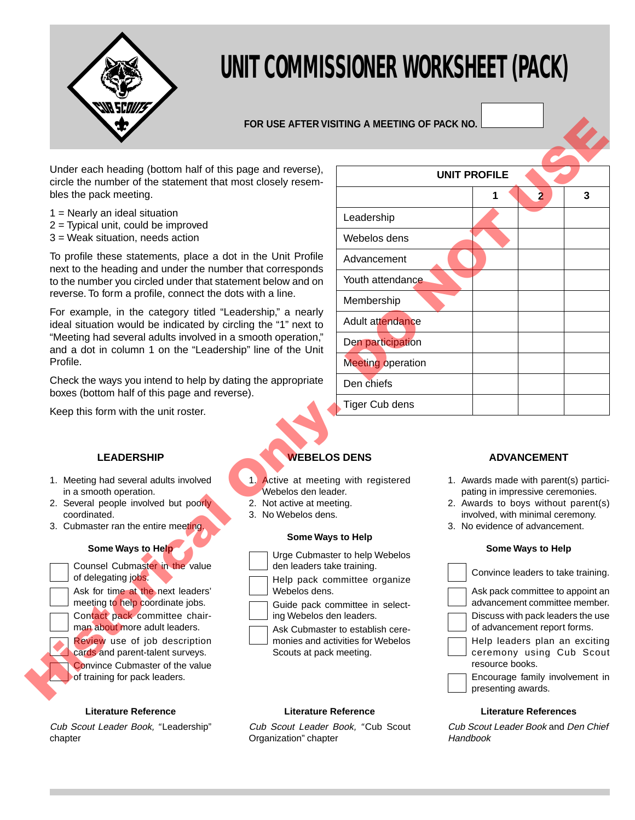

# **UNIT COMMISSIONER WORKSHEET (PACK)**

# **FOR USE AFTER VISITING A MEETING OF PACK NO.**

- 1 = Nearly an ideal situation
- 2 = Typical unit, could be improved
- 3 = Weak situation, needs action

## **LEADERSHIP**

- 1. Meeting had several adults involved in a smooth operation.
- 2. Several people involved but poorly coordinated.
- 3. Cubmaster ran the entire meeting.

#### **Some Ways to Help**



#### **Literature Reference**

Cub Scout Leader Book, "Leadership" chapter

# **WEBELOS DENS**

- 1. Active at meeting with registered Webelos den leader.
- 2. Not active at meeting.
- 3. No Webelos dens.

#### **Some Ways to Help**

- Urge Cubmaster to help Webelos
- den leaders take training.
- Help pack committee organize Webelos dens.
- Guide pack committee in selecting Webelos den leaders.

#### **Literature Reference**

Cub Scout Leader Book, "Cub Scout Organization" chapter

|                                                                                                                                                                                                                                                                                                                                                                                                                                                                                                                                                                                                                                                                                         |                                                                                                                                                                                                                                                                                  | FOR USE AFTER VISITING A MEETING OF PACK NO.                                                                                                                                            |  |                                                                                                                                                                                                                                                                                                                                                   |                    |  |
|-----------------------------------------------------------------------------------------------------------------------------------------------------------------------------------------------------------------------------------------------------------------------------------------------------------------------------------------------------------------------------------------------------------------------------------------------------------------------------------------------------------------------------------------------------------------------------------------------------------------------------------------------------------------------------------------|----------------------------------------------------------------------------------------------------------------------------------------------------------------------------------------------------------------------------------------------------------------------------------|-----------------------------------------------------------------------------------------------------------------------------------------------------------------------------------------|--|---------------------------------------------------------------------------------------------------------------------------------------------------------------------------------------------------------------------------------------------------------------------------------------------------------------------------------------------------|--------------------|--|
| Under each heading (bottom half of this page and reverse),<br>circle the number of the statement that most closely resem-<br>bles the pack meeting.                                                                                                                                                                                                                                                                                                                                                                                                                                                                                                                                     |                                                                                                                                                                                                                                                                                  | <b>UNIT PROFILE</b><br>3<br>$\overline{2}$<br>1                                                                                                                                         |  |                                                                                                                                                                                                                                                                                                                                                   |                    |  |
| $1 =$ Nearly an ideal situation<br>$2$ = Typical unit, could be improved<br>3 = Weak situation, needs action                                                                                                                                                                                                                                                                                                                                                                                                                                                                                                                                                                            |                                                                                                                                                                                                                                                                                  | Leadership<br>Webelos dens                                                                                                                                                              |  |                                                                                                                                                                                                                                                                                                                                                   |                    |  |
| To profile these statements, place a dot in the Unit Profile<br>next to the heading and under the number that corresponds<br>to the number you circled under that statement below and on<br>reverse. To form a profile, connect the dots with a line.<br>For example, in the category titled "Leadership," a nearly<br>ideal situation would be indicated by circling the "1" next to<br>"Meeting had several adults involved in a smooth operation,"<br>and a dot in column 1 on the "Leadership" line of the Unit<br>Profile.<br>Check the ways you intend to help by dating the appropriate<br>boxes (bottom half of this page and reverse).<br>Keep this form with the unit roster. |                                                                                                                                                                                                                                                                                  | Advancement<br>Youth attendance<br>Membership<br>Adult attendance<br>Den participation                                                                                                  |  |                                                                                                                                                                                                                                                                                                                                                   |                    |  |
|                                                                                                                                                                                                                                                                                                                                                                                                                                                                                                                                                                                                                                                                                         |                                                                                                                                                                                                                                                                                  | <b>Meeting operation</b><br>Den chiefs<br>Tiger Cub dens                                                                                                                                |  |                                                                                                                                                                                                                                                                                                                                                   |                    |  |
| <b>LEADERSHIP</b>                                                                                                                                                                                                                                                                                                                                                                                                                                                                                                                                                                                                                                                                       | <b>WEBELOS DENS</b>                                                                                                                                                                                                                                                              |                                                                                                                                                                                         |  |                                                                                                                                                                                                                                                                                                                                                   | <b>ADVANCEMENT</b> |  |
| 1. Meeting had several adults involved<br>in a smooth operation.<br>2. Several people involved but poorly<br>coordinated.<br>3. Cubmaster ran the entire meeting.                                                                                                                                                                                                                                                                                                                                                                                                                                                                                                                       | 1. Active at meeting with registered<br>Webelos den leader.<br>2. Not active at meeting.<br>3. No Webelos dens.<br>Some Ways to Help                                                                                                                                             | 1. Awards made with parent(s) partici-<br>pating in impressive ceremonies.<br>2. Awards to boys without parent(s)<br>involved, with minimal ceremony.<br>3. No evidence of advancement. |  |                                                                                                                                                                                                                                                                                                                                                   |                    |  |
| Some Ways to Help<br>Counsel Cubmaster in the value<br>of delegating jobs.<br>Ask for time at the next leaders'<br>meeting to help coordinate jobs.<br>Contact pack committee chair-<br>man about more adult leaders.<br>Review use of job description<br>cards and parent-talent surveys.<br>Convince Cubmaster of the value<br>of training for pack leaders.                                                                                                                                                                                                                                                                                                                          | Urge Cubmaster to help Webelos<br>den leaders take training.<br>Help pack committee organize<br>Webelos dens.<br>Guide pack committee in select-<br>ing Webelos den leaders.<br>Ask Cubmaster to establish cere-<br>monies and activities for Webelos<br>Scouts at pack meeting. |                                                                                                                                                                                         |  | <b>Some Ways to Help</b><br>Convince leaders to take training.<br>Ask pack committee to appoint an<br>advancement committee member.<br>Discuss with pack leaders the use<br>of advancement report forms.<br>Help leaders plan an exciting<br>ceremony using Cub Scout<br>resource books.<br>Encourage family involvement in<br>presenting awards. |                    |  |

## **ADVANCEMENT**

- 1. Awards made with parent(s) participating in impressive ceremonies.
- 2. Awards to boys without parent(s) involved, with minimal ceremony.
- 3. No evidence of advancement.

#### **Some Ways to Help**

| Convince leaders to take training.                                           |
|------------------------------------------------------------------------------|
| Ask pack committee to appoint an<br>advancement committee member.            |
| Discuss with pack leaders the use<br>of advancement report forms.            |
| Help leaders plan an exciting<br>ceremony using Cub Scout<br>resource books. |
| Encourage family involvement in<br>presenting awards.                        |

#### **Literature References**

Cub Scout Leader Book and Den Chief Handbook